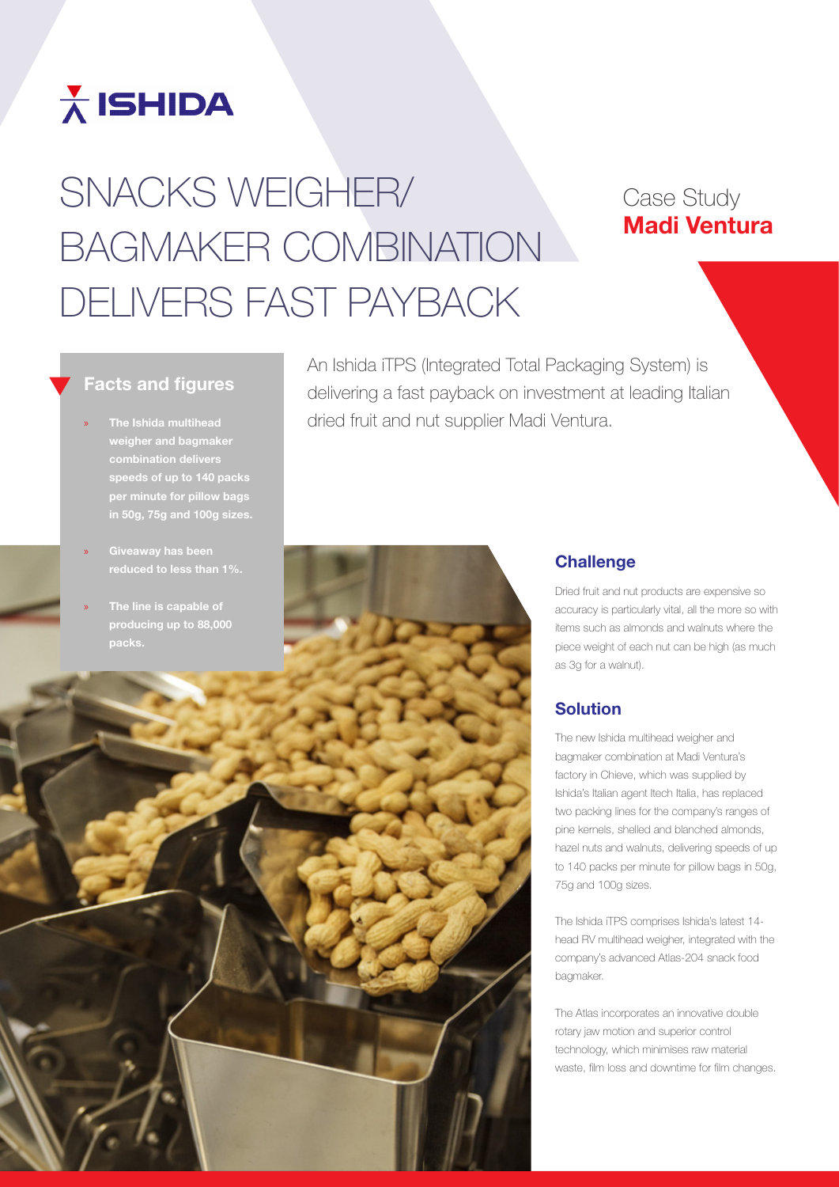

# SNACKS WEIGHER/ BAGMAKER COMBINATION DELIVERS FAST PAYBACK

## Case Study Madi Ventura

### Facts and figures

- weigher and bagmaker speeds of up to 140 packs per minute for pillow bags
- Giveaway has been

An Ishida iTPS (Integrated Total Packaging System) is delivering a fast payback on investment at leading Italian dried fruit and nut supplier Madi Ventura.



#### **Challenge**

Dried fruit and nut products are expensive so accuracy is particularly vital, all the more so with items such as almonds and walnuts where the piece weight of each nut can be high (as much as 3g for a walnut).

#### Solution

The new Ishida multihead weigher and bagmaker combination at Madi Ventura's factory in Chieve, which was supplied by Ishida's Italian agent Itech Italia, has replaced two packing lines for the company's ranges of pine kernels, shelled and blanched almonds, hazel nuts and walnuts, delivering speeds of up to 140 packs per minute for pillow bags in 50g, 75g and 100g sizes.

The Ishida iTPS comprises Ishida's latest 14 head RV multihead weigher, integrated with the company's advanced Atlas-204 snack food bagmaker.

The Atlas incorporates an innovative double rotary jaw motion and superior control technology, which minimises raw material waste, film loss and downtime for film changes.